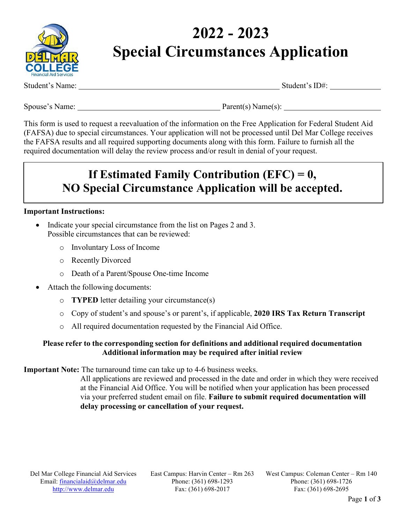

# **2022 - 2023 Special Circumstances Application**

Student's Name: Student's ID#:

Spouse's Name: Parent(s) Name(s):

This form is used to request a reevaluation of the information on the Free Application for Federal Student Aid (FAFSA) due to special circumstances. Your application will not be processed until Del Mar College receives the FAFSA results and all required supporting documents along with this form. Failure to furnish all the required documentation will delay the review process and/or result in denial of your request.

## **If Estimated Family Contribution (EFC) = 0, NO Special Circumstance Application will be accepted.**

#### **Important Instructions:**

- Indicate your special circumstance from the list on Pages 2 and 3. Possible circumstances that can be reviewed:
	- o Involuntary Loss of Income
	- o Recently Divorced
	- o Death of a Parent/Spouse One-time Income
- Attach the following documents:
	- o **TYPED** letter detailing your circumstance(s)
	- o Copy of student's and spouse's or parent's, if applicable, **2020 IRS Tax Return Transcript**
	- o All required documentation requested by the Financial Aid Office.

#### **Please refer to the corresponding section for definitions and additional required documentation Additional information may be required after initial review**

**Important Note:** The turnaround time can take up to 4-6 business weeks.

All applications are reviewed and processed in the date and order in which they were received at the Financial Aid Office. You will be notified when your application has been processed via your preferred student email on file. **Failure to submit required documentation will delay processing or cancellation of your request.**

East Campus: Harvin Center – Rm 263 Phone: (361) 698-1293 Fax: (361) 698-2017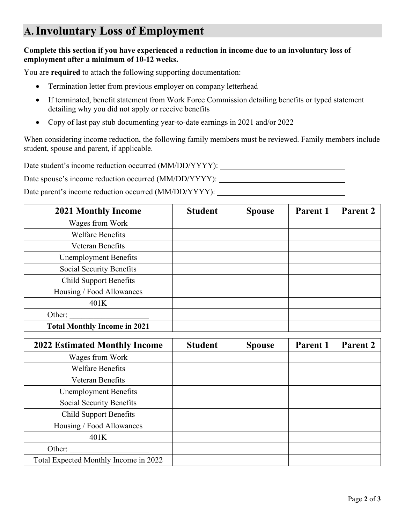### **A.Involuntary Loss of Employment**

#### **Complete this section if you have experienced a reduction in income due to an involuntary loss of employment after a minimum of 10-12 weeks.**

You are **required** to attach the following supporting documentation:

- Termination letter from previous employer on company letterhead
- If terminated, benefit statement from Work Force Commission detailing benefits or typed statement detailing why you did not apply or receive benefits
- Copy of last pay stub documenting year-to-date earnings in 2021 and/or 2022

When considering income reduction, the following family members must be reviewed. Family members include student, spouse and parent, if applicable.

Date student's income reduction occurred (MM/DD/YYYY):

Date spouse's income reduction occurred (MM/DD/YYYY):

Date parent's income reduction occurred (MM/DD/YYYY):

| <b>2021 Monthly Income</b>          | <b>Student</b> | <b>Spouse</b> | Parent 1 | <b>Parent 2</b> |
|-------------------------------------|----------------|---------------|----------|-----------------|
| Wages from Work                     |                |               |          |                 |
| <b>Welfare Benefits</b>             |                |               |          |                 |
| <b>Veteran Benefits</b>             |                |               |          |                 |
| <b>Unemployment Benefits</b>        |                |               |          |                 |
| Social Security Benefits            |                |               |          |                 |
| <b>Child Support Benefits</b>       |                |               |          |                 |
| Housing / Food Allowances           |                |               |          |                 |
| 401K                                |                |               |          |                 |
| Other:                              |                |               |          |                 |
| <b>Total Monthly Income in 2021</b> |                |               |          |                 |

| <b>2022 Estimated Monthly Income</b>  | <b>Student</b> | <b>Spouse</b> | Parent 1 | Parent 2 |
|---------------------------------------|----------------|---------------|----------|----------|
| Wages from Work                       |                |               |          |          |
| <b>Welfare Benefits</b>               |                |               |          |          |
| Veteran Benefits                      |                |               |          |          |
| <b>Unemployment Benefits</b>          |                |               |          |          |
| Social Security Benefits              |                |               |          |          |
| <b>Child Support Benefits</b>         |                |               |          |          |
| Housing / Food Allowances             |                |               |          |          |
| 401K                                  |                |               |          |          |
| Other:                                |                |               |          |          |
| Total Expected Monthly Income in 2022 |                |               |          |          |